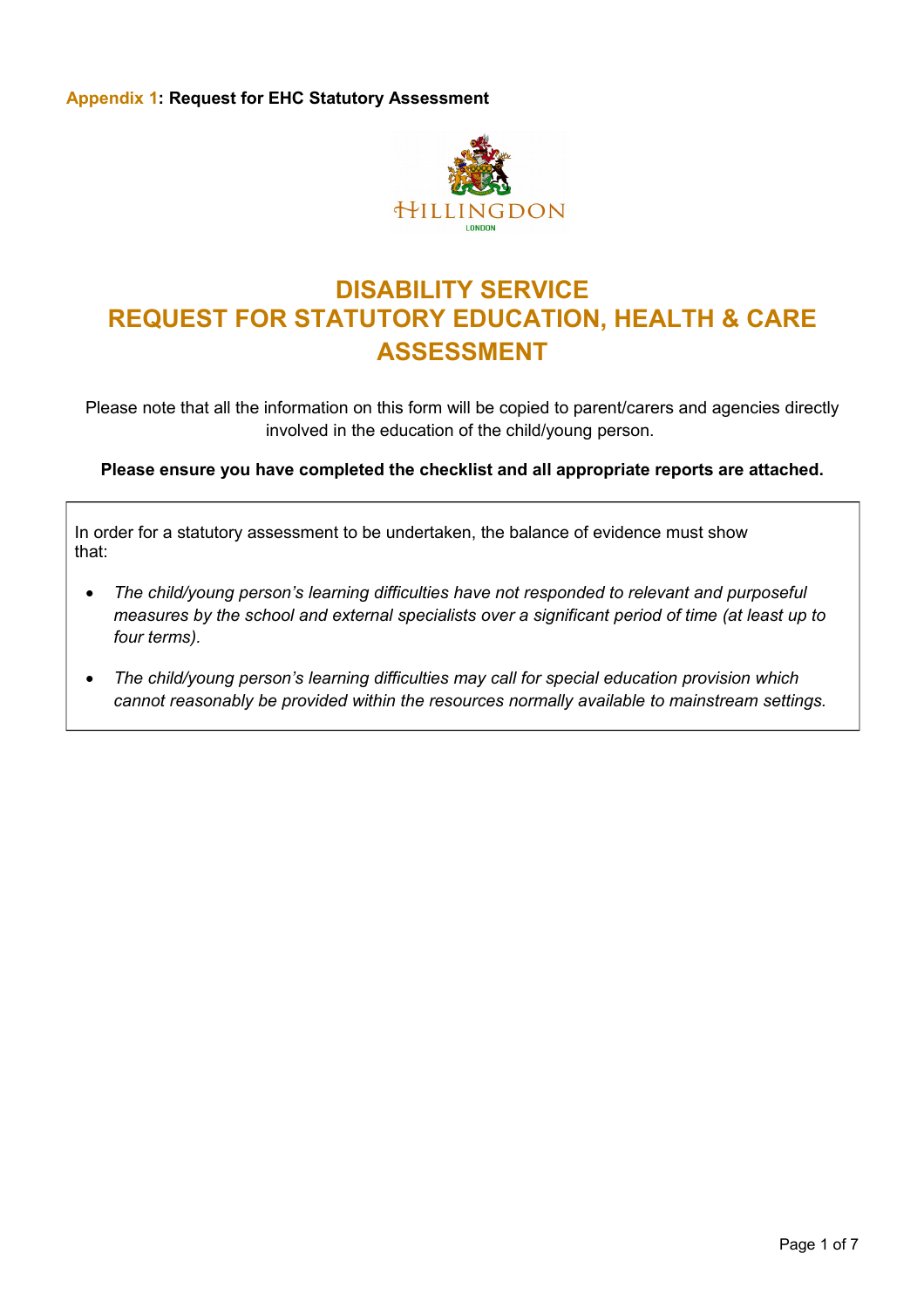

### **DISABILITY SERVICE REQUEST FOR STATUTORY EDUCATION, HEALTH & CARE ASSESSMENT**

Please note that all the information on this form will be copied to parent/carers and agencies directly involved in the education of the child/young person.

**Please ensure you have completed the checklist and all appropriate reports are attached.**

In order for a statutory assessment to be undertaken, the balance of evidence must show that:

- *The child/young person's learning difficulties have not responded to relevant and purposeful measures by the school and external specialists over a significant period of time (at least up to four terms).*
- *The child/young person's learning difficulties may call for special education provision which cannot reasonably be provided within the resources normally available to mainstream settings.*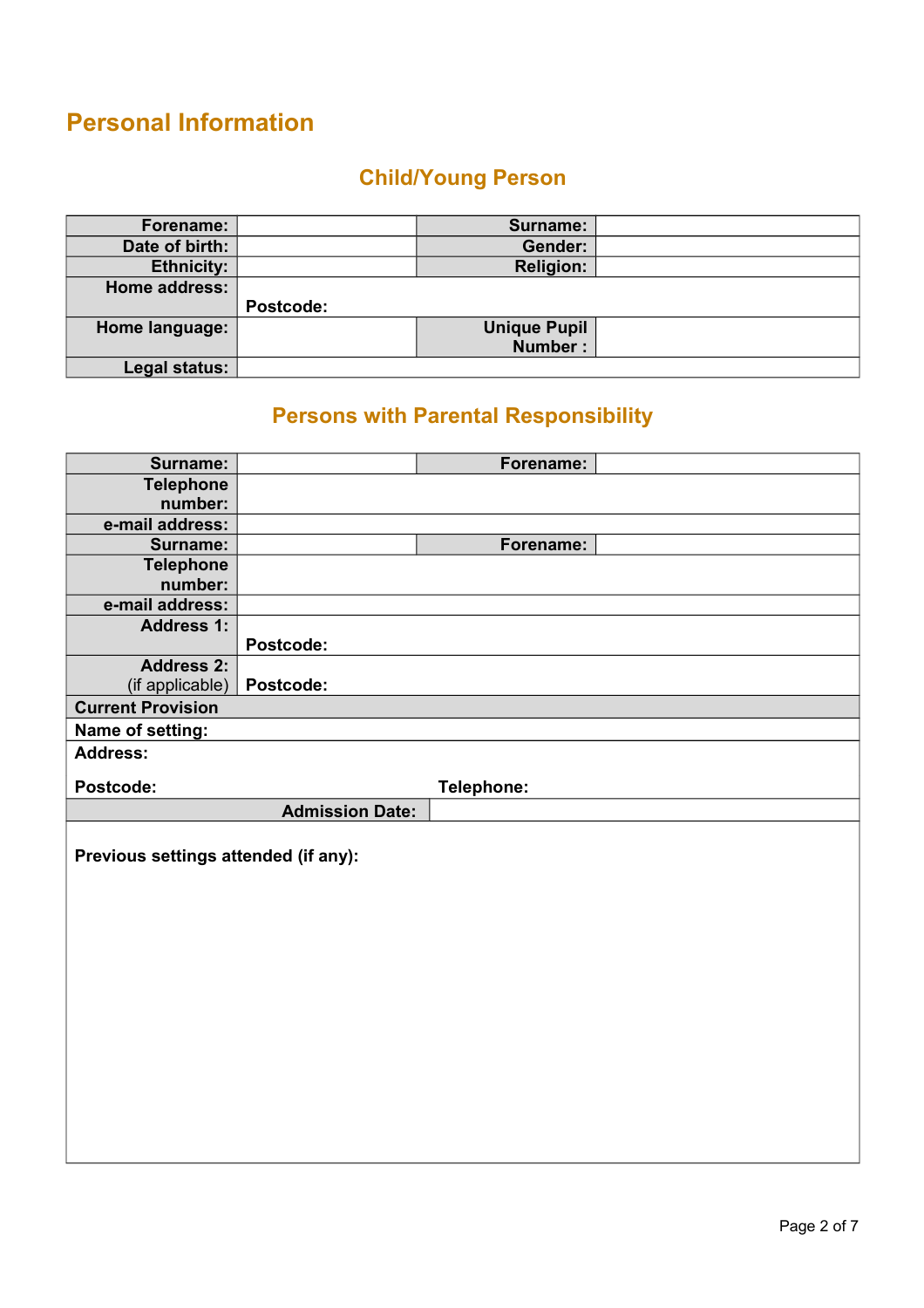## **Personal Information**

### **Child/Young Person**

| Forename:         |           | Surname:            |  |
|-------------------|-----------|---------------------|--|
| Date of birth:    |           | Gender:             |  |
| <b>Ethnicity:</b> |           | <b>Religion:</b>    |  |
| Home address:     |           |                     |  |
|                   |           |                     |  |
|                   | Postcode: |                     |  |
| Home language:    |           | <b>Unique Pupil</b> |  |
|                   |           | Number:             |  |

### **Persons with Parental Responsibility**

| Surname:                             |                        | Forename:  |
|--------------------------------------|------------------------|------------|
| <b>Telephone</b>                     |                        |            |
| number:                              |                        |            |
| e-mail address:                      |                        |            |
| Surname:                             |                        | Forename:  |
| <b>Telephone</b>                     |                        |            |
| number:                              |                        |            |
| e-mail address:                      |                        |            |
| <b>Address 1:</b>                    |                        |            |
|                                      | Postcode:              |            |
| <b>Address 2:</b>                    |                        |            |
| (if applicable)                      | Postcode:              |            |
| <b>Current Provision</b>             |                        |            |
| Name of setting:                     |                        |            |
| <b>Address:</b>                      |                        |            |
|                                      |                        |            |
| Postcode:                            |                        | Telephone: |
|                                      | <b>Admission Date:</b> |            |
|                                      |                        |            |
| Previous settings attended (if any): |                        |            |
|                                      |                        |            |
|                                      |                        |            |
|                                      |                        |            |
|                                      |                        |            |
|                                      |                        |            |
|                                      |                        |            |
|                                      |                        |            |
|                                      |                        |            |
|                                      |                        |            |
|                                      |                        |            |
|                                      |                        |            |
|                                      |                        |            |
|                                      |                        |            |
|                                      |                        |            |
|                                      |                        |            |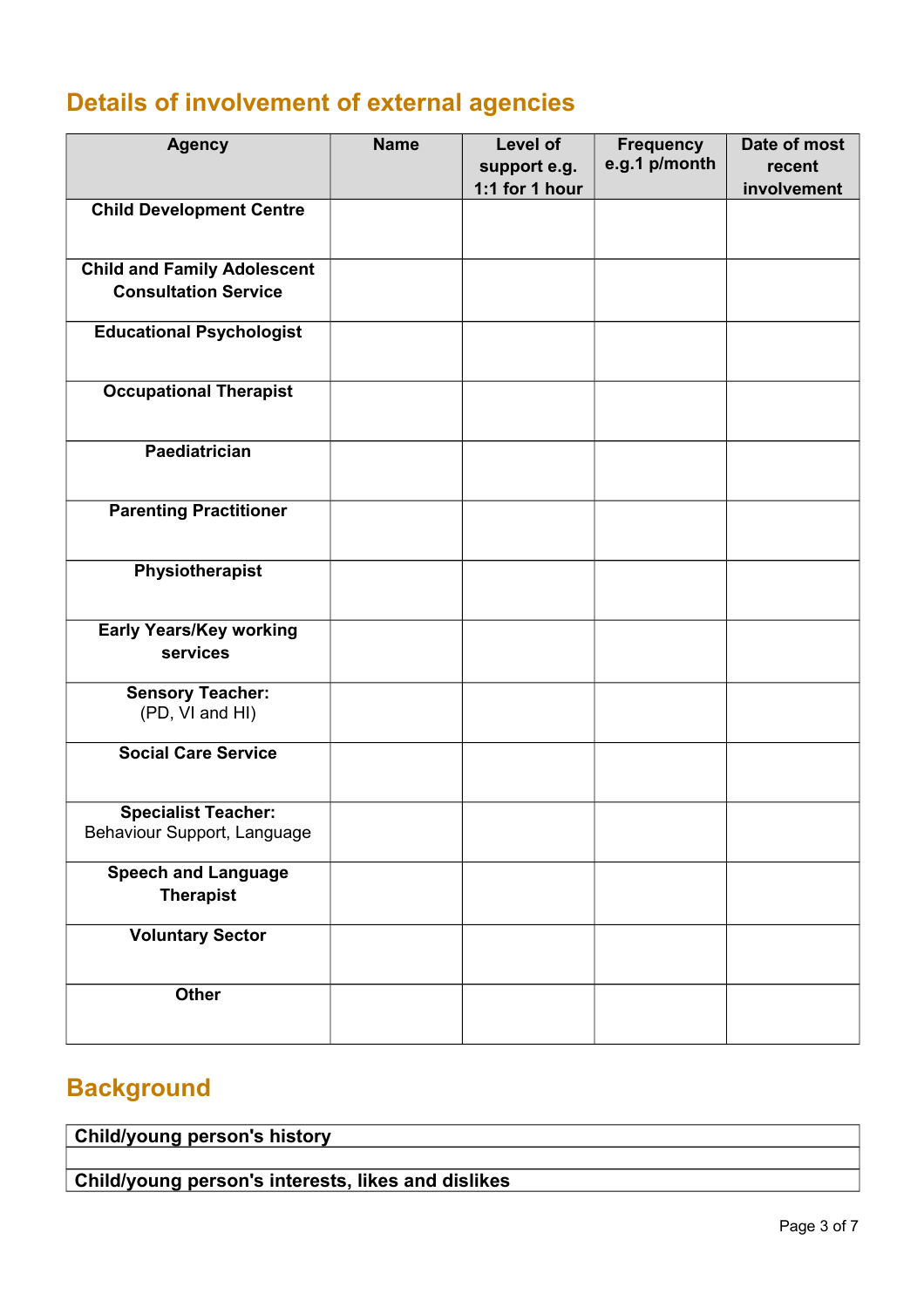# **Details of involvement of external agencies**

| <b>Agency</b>                                             | <b>Name</b> | Level of<br>support e.g. | <b>Frequency</b><br>e.g.1 p/month | Date of most<br>recent |
|-----------------------------------------------------------|-------------|--------------------------|-----------------------------------|------------------------|
|                                                           |             | 1:1 for 1 hour           |                                   | involvement            |
| <b>Child Development Centre</b>                           |             |                          |                                   |                        |
| <b>Child and Family Adolescent</b>                        |             |                          |                                   |                        |
| <b>Consultation Service</b>                               |             |                          |                                   |                        |
| <b>Educational Psychologist</b>                           |             |                          |                                   |                        |
| <b>Occupational Therapist</b>                             |             |                          |                                   |                        |
| Paediatrician                                             |             |                          |                                   |                        |
| <b>Parenting Practitioner</b>                             |             |                          |                                   |                        |
| Physiotherapist                                           |             |                          |                                   |                        |
| <b>Early Years/Key working</b><br>services                |             |                          |                                   |                        |
| <b>Sensory Teacher:</b><br>(PD, VI and HI)                |             |                          |                                   |                        |
| <b>Social Care Service</b>                                |             |                          |                                   |                        |
| <b>Specialist Teacher:</b><br>Behaviour Support, Language |             |                          |                                   |                        |
| <b>Speech and Language</b><br><b>Therapist</b>            |             |                          |                                   |                        |
| <b>Voluntary Sector</b>                                   |             |                          |                                   |                        |
| Other                                                     |             |                          |                                   |                        |

# **Background**

**Child/young person's history**

**Child/young person's interests, likes and dislikes**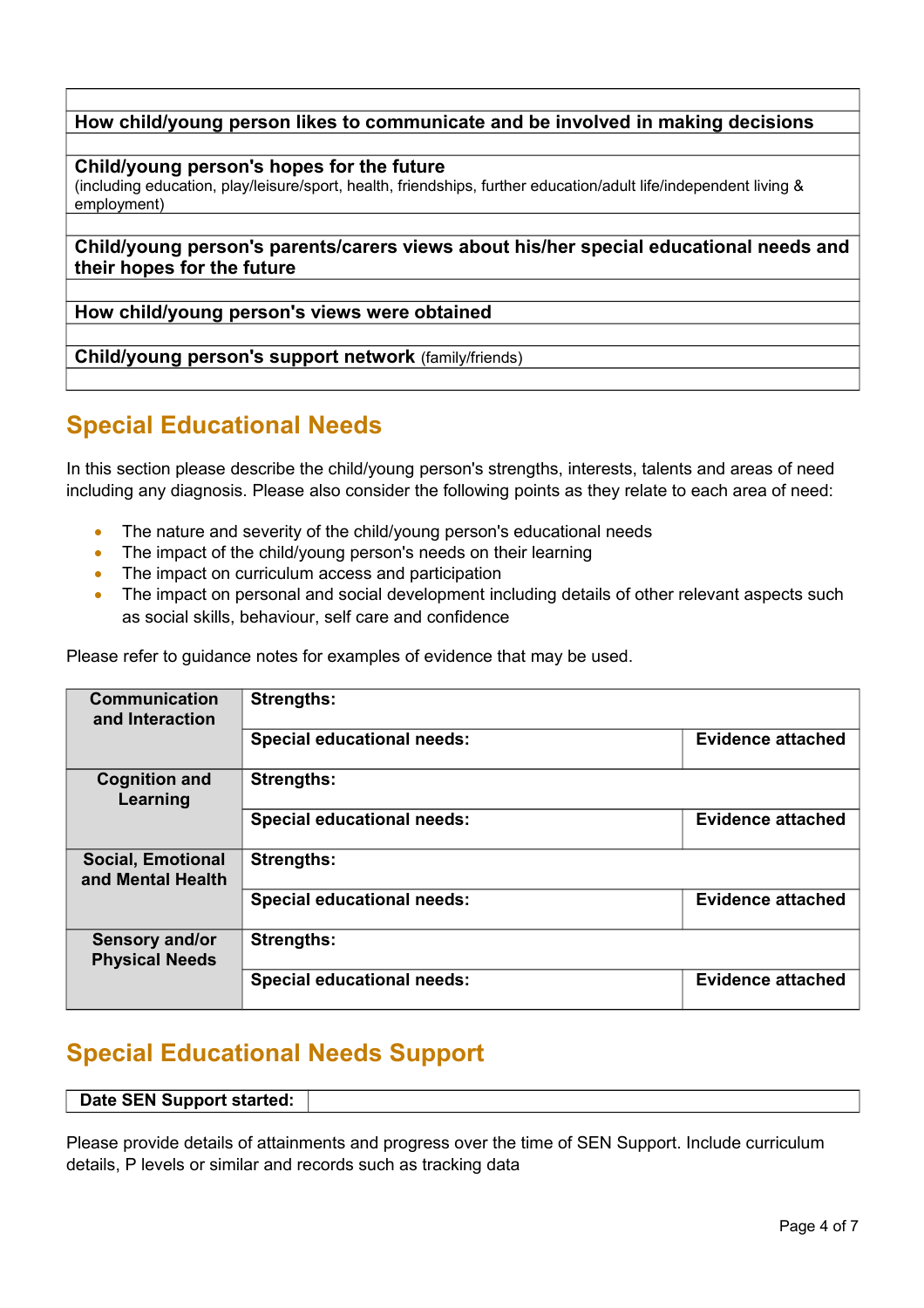**How child/young person likes to communicate and be involved in making decisions**

**Child/young person's hopes for the future** 

(including education, play/leisure/sport, health, friendships, further education/adult life/independent living & employment)

**Child/young person's parents/carers views about his/her special educational needs and their hopes for the future**

**How child/young person's views were obtained**

**Child/young person's support network** (family/friends)

## **Special Educational Needs**

In this section please describe the child/young person's strengths, interests, talents and areas of need including any diagnosis. Please also consider the following points as they relate to each area of need:

- The nature and severity of the child/young person's educational needs
- The impact of the child/young person's needs on their learning
- The impact on curriculum access and participation
- The impact on personal and social development including details of other relevant aspects such as social skills, behaviour, self care and confidence

**Communication and Interaction Strengths: Special educational needs: Evidence attached Cognition and Learning Strengths: Special educational needs: Evidence attached Social, Emotional and Mental Health Strengths: Special educational needs: Evidence attached Sensory and/or Physical Needs Strengths: Special educational needs: Evidence attached**

Please refer to guidance notes for examples of evidence that may be used.

### **Special Educational Needs Support**

#### **Date SEN Support started:**

Please provide details of attainments and progress over the time of SEN Support. Include curriculum details, P levels or similar and records such as tracking data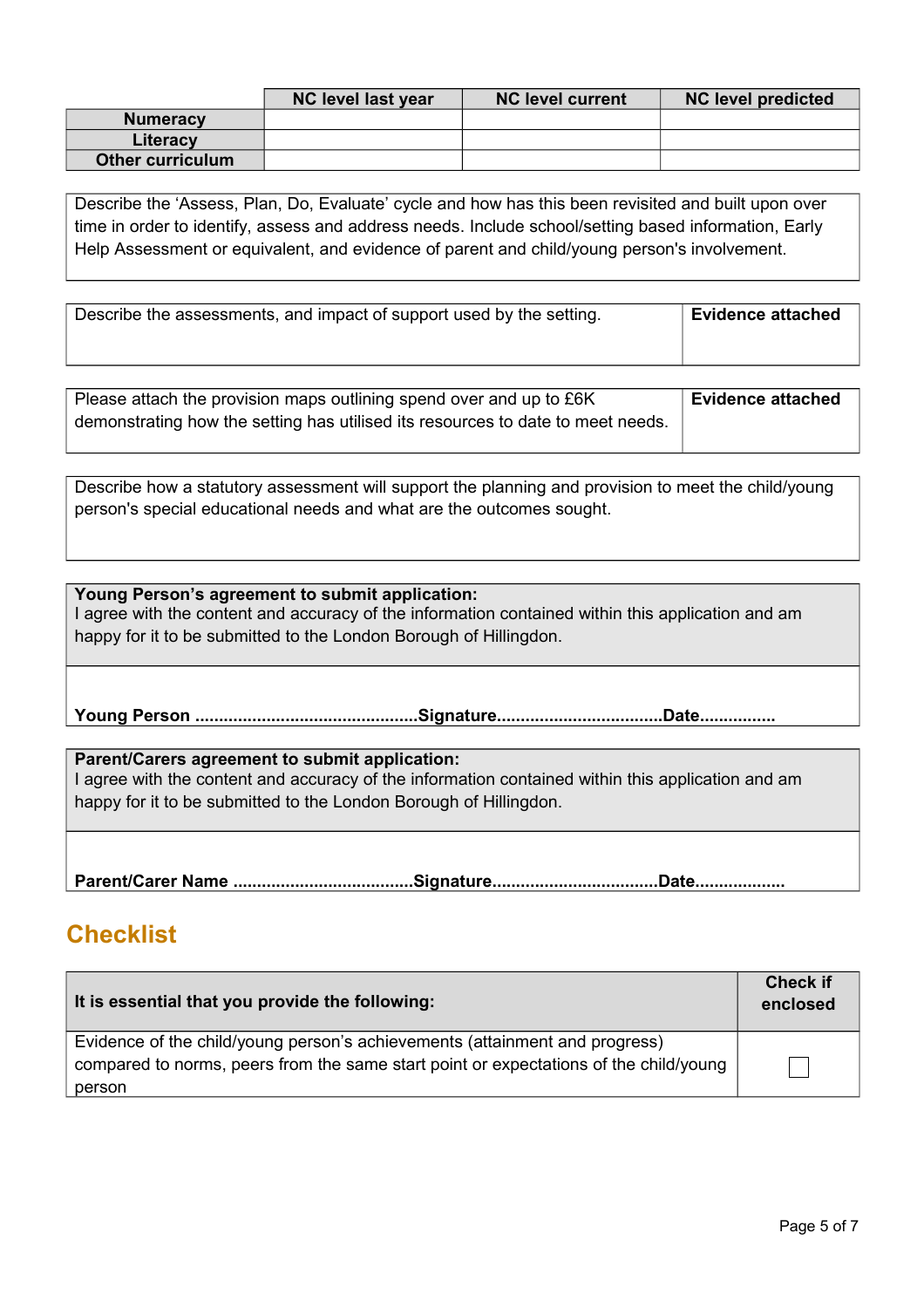|                         | NC level last year | <b>NC level current</b> | <b>NC level predicted</b> |
|-------------------------|--------------------|-------------------------|---------------------------|
| <b>Numeracy</b>         |                    |                         |                           |
| Literacy                |                    |                         |                           |
| <b>Other curriculum</b> |                    |                         |                           |

Describe the 'Assess, Plan, Do, Evaluate' cycle and how has this been revisited and built upon over time in order to identify, assess and address needs. Include school/setting based information, Early Help Assessment or equivalent, and evidence of parent and child/young person's involvement.

| Describe the assessments, and impact of support used by the setting. | <b>Evidence attached</b> |
|----------------------------------------------------------------------|--------------------------|
|                                                                      |                          |

| Please attach the provision maps outlining spend over and up to $E6K$           | <b>Evidence attached</b> |
|---------------------------------------------------------------------------------|--------------------------|
| demonstrating how the setting has utilised its resources to date to meet needs. |                          |
|                                                                                 |                          |

Describe how a statutory assessment will support the planning and provision to meet the child/young person's special educational needs and what are the outcomes sought.

### **Young Person's agreement to submit application:**

I agree with the content and accuracy of the information contained within this application and am happy for it to be submitted to the London Borough of Hillingdon.

**Young Person ...............................................Signature...................................Date................**

**Parent/Carers agreement to submit application:** I agree with the content and accuracy of the information contained within this application and am happy for it to be submitted to the London Borough of Hillingdon.

**Parent/Carer Name ......................................Signature...................................Date...................**

### **Checklist**

| It is essential that you provide the following:                                       | <b>Check if</b><br>enclosed |
|---------------------------------------------------------------------------------------|-----------------------------|
| Evidence of the child/young person's achievements (attainment and progress)           |                             |
| compared to norms, peers from the same start point or expectations of the child/young |                             |
| person                                                                                |                             |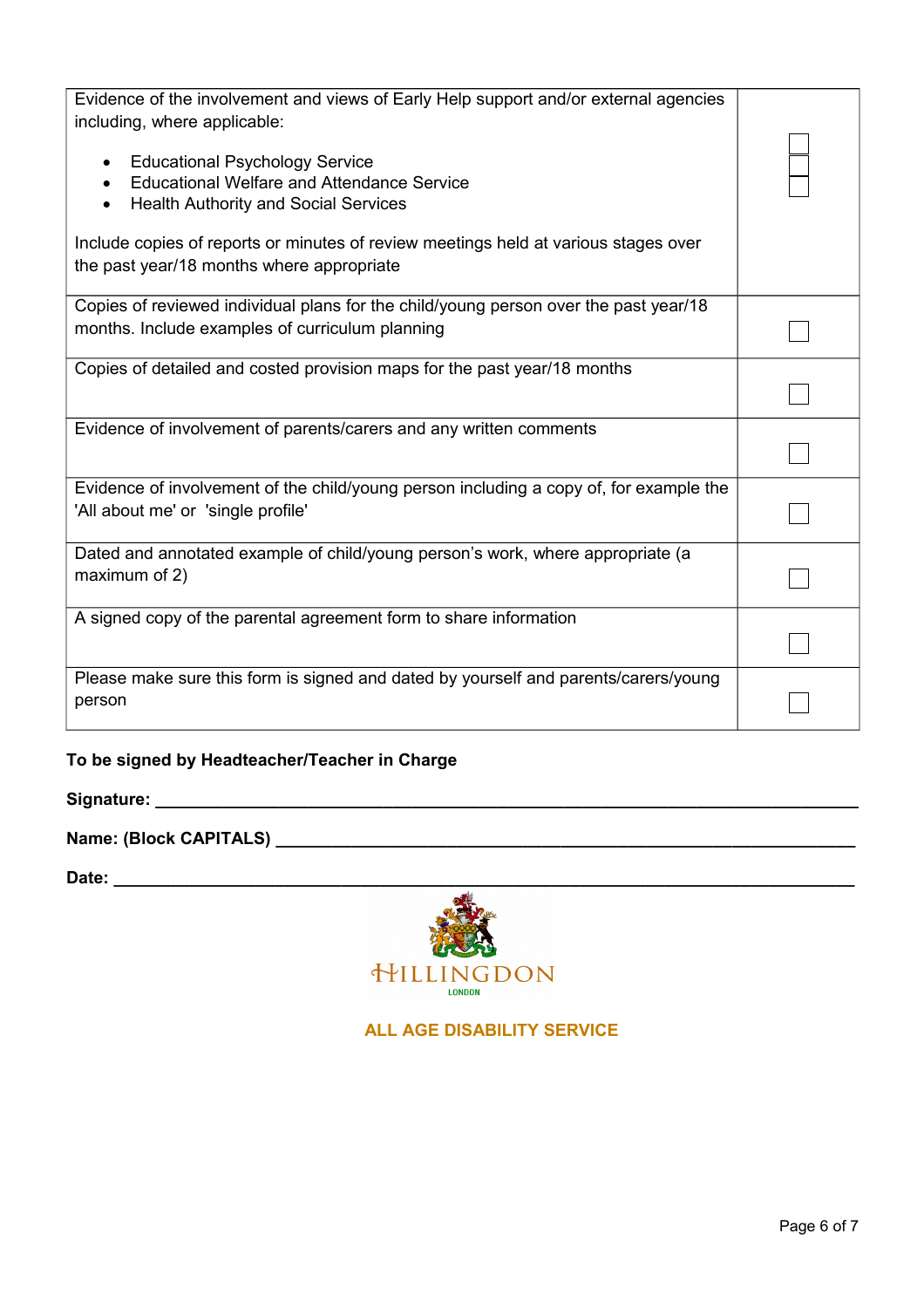| Evidence of the involvement and views of Early Help support and/or external agencies<br>including, where applicable:<br><b>Educational Psychology Service</b><br><b>Educational Welfare and Attendance Service</b><br>$\bullet$<br><b>Health Authority and Social Services</b><br>$\bullet$<br>Include copies of reports or minutes of review meetings held at various stages over<br>the past year/18 months where appropriate |  |
|---------------------------------------------------------------------------------------------------------------------------------------------------------------------------------------------------------------------------------------------------------------------------------------------------------------------------------------------------------------------------------------------------------------------------------|--|
| Copies of reviewed individual plans for the child/young person over the past year/18<br>months. Include examples of curriculum planning                                                                                                                                                                                                                                                                                         |  |
| Copies of detailed and costed provision maps for the past year/18 months                                                                                                                                                                                                                                                                                                                                                        |  |
| Evidence of involvement of parents/carers and any written comments                                                                                                                                                                                                                                                                                                                                                              |  |
| Evidence of involvement of the child/young person including a copy of, for example the<br>'All about me' or 'single profile'                                                                                                                                                                                                                                                                                                    |  |
| Dated and annotated example of child/young person's work, where appropriate (a<br>maximum of 2)                                                                                                                                                                                                                                                                                                                                 |  |
| A signed copy of the parental agreement form to share information                                                                                                                                                                                                                                                                                                                                                               |  |
| Please make sure this form is signed and dated by yourself and parents/carers/young<br>person                                                                                                                                                                                                                                                                                                                                   |  |

### **To be signed by Headteacher/Teacher in Charge**

### **Signature: \_\_\_\_\_\_\_\_\_\_\_\_\_\_\_\_\_\_\_\_\_\_\_\_\_\_\_\_\_\_\_\_\_\_\_\_\_\_\_\_\_\_\_\_\_\_\_\_\_\_\_\_\_\_\_\_\_\_\_\_\_\_\_\_\_\_\_\_\_\_\_\_\_\_**

## **Name: (Block CAPITALS) \_\_\_\_\_\_\_\_\_\_\_\_\_\_\_\_\_\_\_\_\_\_\_\_\_\_\_\_\_\_\_\_\_\_\_\_\_\_\_\_\_\_\_\_\_\_\_\_\_\_\_\_\_\_\_\_\_\_\_\_\_**

**Date: \_\_\_\_\_\_\_\_\_\_\_\_\_\_\_\_\_\_\_\_\_\_\_\_\_\_\_\_\_\_\_\_\_\_\_\_\_\_\_\_\_\_\_\_\_\_\_\_\_\_\_\_\_\_\_\_\_\_\_\_\_\_\_\_\_\_\_\_\_\_\_\_\_\_\_\_\_\_**



 **ALL AGE DISABILITY SERVICE**